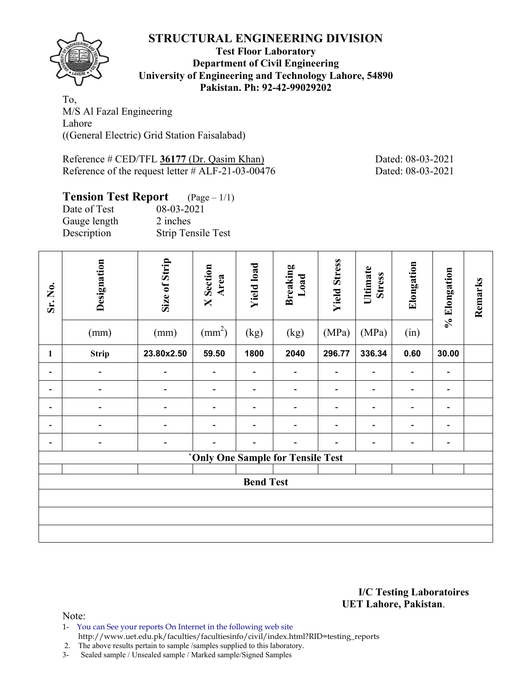

### **Test Floor Laboratory Department of Civil Engineering University of Engineering and Technology Lahore, 54890 Pakistan. Ph: 92-42-99029202**

To, M/S Al Fazal Engineering Lahore ((General Electric) Grid Station Faisalabad)

Reference # CED/TFL 36177 (Dr. Qasim Khan) Dated: 08-03-2021 Reference of the request letter # ALF-21-03-00476 Dated: 08-03-2021

# **Tension Test Report** (Page – 1/1)

| Date of Test | 08-03-2021                |
|--------------|---------------------------|
| Gauge length | 2 inches                  |
| Description  | <b>Strip Tensile Test</b> |

| Sr. No.        | Designation<br>(mm) | Size of Strip<br>(mm) | <b>X</b> Section<br>Area<br>$\text{(mm}^2)$ | <b>Yield load</b><br>(kg) | <b>Breaking</b><br>Load<br>(kg)   | <b>Yield Stress</b><br>(MPa) | Ultimate<br><b>Stress</b><br>(MPa) | Elongation<br>(in)       | % Elongation   | Remarks |
|----------------|---------------------|-----------------------|---------------------------------------------|---------------------------|-----------------------------------|------------------------------|------------------------------------|--------------------------|----------------|---------|
| 1              | <b>Strip</b>        | 23.80x2.50            | 59.50                                       | 1800                      | 2040                              | 296.77                       | 336.34                             | 0.60                     | 30.00          |         |
| $\blacksquare$ | $\overline{a}$      | $\overline{a}$        | $\qquad \qquad \blacksquare$                | -                         | -                                 | $\qquad \qquad \blacksquare$ | Ē.                                 | $\overline{\phantom{0}}$ | $\overline{a}$ |         |
| -              |                     |                       |                                             | -                         |                                   |                              |                                    | $\overline{a}$           | -              |         |
|                |                     |                       |                                             |                           |                                   |                              |                                    |                          |                |         |
| -              |                     | $\overline{a}$        | -                                           | -                         |                                   | $\qquad \qquad \blacksquare$ | $\blacksquare$                     | $\overline{a}$           | $\blacksquare$ |         |
|                | $\overline{a}$      |                       |                                             |                           |                                   |                              |                                    | -                        | $\blacksquare$ |         |
|                |                     |                       |                                             |                           | 'Only One Sample for Tensile Test |                              |                                    |                          |                |         |
|                |                     |                       |                                             |                           |                                   |                              |                                    |                          |                |         |
|                |                     |                       |                                             | <b>Bend Test</b>          |                                   |                              |                                    |                          |                |         |
|                |                     |                       |                                             |                           |                                   |                              |                                    |                          |                |         |
|                |                     |                       |                                             |                           |                                   |                              |                                    |                          |                |         |
|                |                     |                       |                                             |                           |                                   |                              |                                    |                          |                |         |

#### **I/C Testing Laboratoires UET Lahore, Pakistan**.

Note:

- 1- You can See your reports On Internet in the following web site
- http://www.uet.edu.pk/faculties/facultiesinfo/civil/index.html?RID=testing\_reports

2. The above results pertain to sample /samples supplied to this laboratory.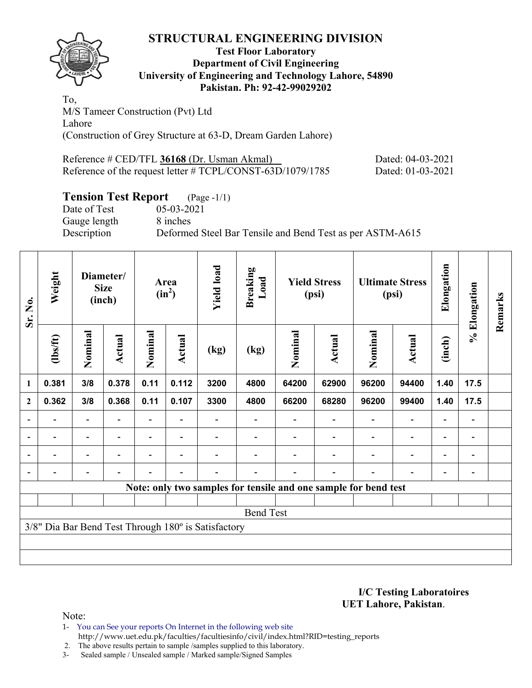

### **Test Floor Laboratory Department of Civil Engineering University of Engineering and Technology Lahore, 54890 Pakistan. Ph: 92-42-99029202**

To, M/S Tameer Construction (Pvt) Ltd Lahore (Construction of Grey Structure at 63-D, Dream Garden Lahore)

| Reference # CED/TFL 36168 (Dr. Usman Akmal)                | Dated: 04-03-2021 |
|------------------------------------------------------------|-------------------|
| Reference of the request letter # TCPL/CONST-63D/1079/1785 | Dated: 01-03-2021 |

# **Tension Test Report** (Page -1/1)

Date of Test 05-03-2021 Gauge length 8 inches Description Deformed Steel Bar Tensile and Bend Test as per ASTM-A615

| Sr. No.                  | Weight         | Diameter/<br><b>Size</b><br>(inch) |                          | Area<br>$(in^2)$ |                          | <b>Yield load</b>                                   | <b>Breaking</b><br>Load | <b>Yield Stress</b><br>(psi) |                                                                 | <b>Ultimate Stress</b><br>(psi) |                          | Elongation               | % Elongation                 | Remarks |
|--------------------------|----------------|------------------------------------|--------------------------|------------------|--------------------------|-----------------------------------------------------|-------------------------|------------------------------|-----------------------------------------------------------------|---------------------------------|--------------------------|--------------------------|------------------------------|---------|
|                          | $lbsft$        | Nominal                            | Actual                   | Nominal          | Actual                   | (kg)                                                | (kg)                    | Nominal                      | Actual                                                          | Nominal                         | Actual                   | (inch)                   |                              |         |
| 1                        | 0.381          | 3/8                                | 0.378                    | 0.11             | 0.112                    | 3200                                                | 4800                    | 64200                        | 62900                                                           | 96200                           | 94400                    | 1.40                     | 17.5                         |         |
| $\mathbf{2}$             | 0.362          | 3/8                                | 0.368                    | 0.11             | 0.107                    | 3300                                                | 4800                    | 66200                        | 68280                                                           | 96200                           | 99400                    | 1.40                     | 17.5                         |         |
| $\overline{\phantom{0}}$ |                |                                    |                          |                  |                          |                                                     |                         |                              |                                                                 |                                 |                          |                          |                              |         |
| $\overline{\phantom{a}}$ |                | $\overline{\phantom{a}}$           |                          |                  |                          |                                                     |                         |                              |                                                                 |                                 |                          |                          | $\qquad \qquad \blacksquare$ |         |
| $\overline{\phantom{0}}$ | $\blacksquare$ | $\overline{\phantom{0}}$           | $\overline{\phantom{0}}$ |                  | ۰                        |                                                     |                         |                              |                                                                 |                                 | $\overline{\phantom{0}}$ | $\overline{\phantom{0}}$ | $\qquad \qquad \blacksquare$ |         |
|                          |                | $\blacksquare$                     |                          |                  | $\overline{\phantom{0}}$ |                                                     |                         |                              |                                                                 |                                 |                          |                          |                              |         |
|                          |                |                                    |                          |                  |                          |                                                     |                         |                              | Note: only two samples for tensile and one sample for bend test |                                 |                          |                          |                              |         |
|                          |                |                                    |                          |                  |                          |                                                     |                         |                              |                                                                 |                                 |                          |                          |                              |         |
|                          |                |                                    |                          |                  |                          |                                                     | <b>Bend Test</b>        |                              |                                                                 |                                 |                          |                          |                              |         |
|                          |                |                                    |                          |                  |                          | 3/8" Dia Bar Bend Test Through 180° is Satisfactory |                         |                              |                                                                 |                                 |                          |                          |                              |         |
|                          |                |                                    |                          |                  |                          |                                                     |                         |                              |                                                                 |                                 |                          |                          |                              |         |
|                          |                |                                    |                          |                  |                          |                                                     |                         |                              |                                                                 |                                 |                          |                          |                              |         |

**I/C Testing Laboratoires UET Lahore, Pakistan**.

Note:

- 1- You can See your reports On Internet in the following web site http://www.uet.edu.pk/faculties/facultiesinfo/civil/index.html?RID=testing\_reports
- 2. The above results pertain to sample /samples supplied to this laboratory.
- 3- Sealed sample / Unsealed sample / Marked sample/Signed Samples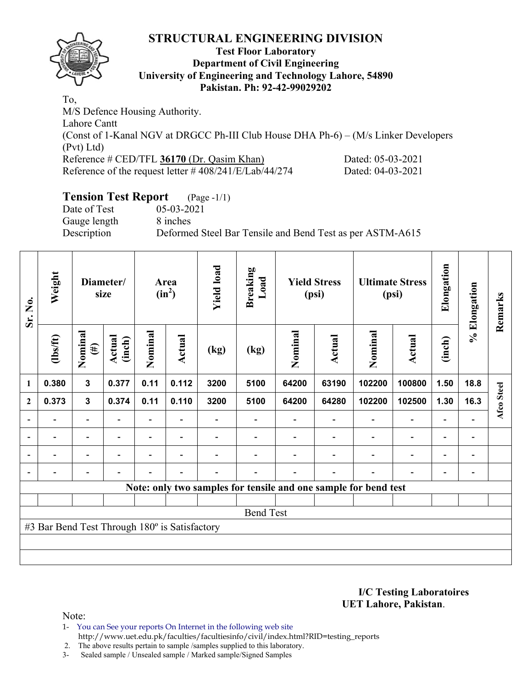

## **Test Floor Laboratory Department of Civil Engineering University of Engineering and Technology Lahore, 54890 Pakistan. Ph: 92-42-99029202**

To, M/S Defence Housing Authority. Lahore Cantt (Const of 1-Kanal NGV at DRGCC Ph-III Club House DHA Ph-6) – (M/s Linker Developers (Pvt) Ltd) Reference # CED/TFL 36170 (Dr. Qasim Khan) Dated: 05-03-2021 Reference of the request letter # 408/241/E/Lab/44/274 Dated: 04-03-2021

# **Tension Test Report** (Page -1/1)

Date of Test 05-03-2021 Gauge length 8 inches

Description Deformed Steel Bar Tensile and Bend Test as per ASTM-A615

| Sr. No.        | Weight                                        | Diameter/<br>size        |                  |                          |                          |      |                  |         |                          |                                                                 |                          |                          |                |            |  |  |  |  |  |  | <b>Yield load</b><br><b>Breaking</b><br>Load<br><b>Yield Stress</b><br>Area<br>$(in^2)$<br>(psi) |  | <b>Ultimate Stress</b><br>(psi) |  | Elongation | % Elongation | Remarks |
|----------------|-----------------------------------------------|--------------------------|------------------|--------------------------|--------------------------|------|------------------|---------|--------------------------|-----------------------------------------------------------------|--------------------------|--------------------------|----------------|------------|--|--|--|--|--|--|--------------------------------------------------------------------------------------------------|--|---------------------------------|--|------------|--------------|---------|
|                | $\frac{2}{10}$                                | Nominal<br>$(\#)$        | Actual<br>(inch) | Nominal                  | <b>Actual</b>            | (kg) | (kg)             | Nominal | <b>Actual</b>            | Nominal                                                         | <b>Actual</b>            | (inch)                   |                |            |  |  |  |  |  |  |                                                                                                  |  |                                 |  |            |              |         |
| $\mathbf{1}$   | 0.380                                         | $\overline{\mathbf{3}}$  | 0.377            | 0.11                     | 0.112                    | 3200 | 5100             | 64200   | 63190                    | 102200                                                          | 100800                   | 1.50                     | 18.8           |            |  |  |  |  |  |  |                                                                                                  |  |                                 |  |            |              |         |
| $\mathbf{2}$   | 0.373                                         | $\mathbf{3}$             | 0.374            | 0.11                     | 0.110                    | 3200 | 5100             | 64200   | 64280                    | 102200                                                          | 102500                   | 1.30                     | 16.3           | Afco Steel |  |  |  |  |  |  |                                                                                                  |  |                                 |  |            |              |         |
| $\blacksquare$ | $\qquad \qquad \blacksquare$                  | $\blacksquare$           | ۰                |                          |                          |      |                  |         | $\blacksquare$           | $\overline{\phantom{a}}$                                        | $\overline{\phantom{a}}$ |                          |                |            |  |  |  |  |  |  |                                                                                                  |  |                                 |  |            |              |         |
|                | ۰                                             | $\overline{\phantom{a}}$ | ۰                | $\overline{\phantom{0}}$ | $\overline{\phantom{0}}$ |      |                  |         | $\overline{\phantom{0}}$ | $\overline{\phantom{0}}$                                        | $\blacksquare$           | $\overline{\phantom{0}}$ | $\blacksquare$ |            |  |  |  |  |  |  |                                                                                                  |  |                                 |  |            |              |         |
|                | -                                             | $\overline{\phantom{0}}$ | ۰                | $\overline{\phantom{0}}$ | $\overline{\phantom{0}}$ |      |                  |         | -                        | $\overline{\phantom{0}}$                                        | $\overline{a}$           | $\overline{\phantom{0}}$ | $\blacksquare$ |            |  |  |  |  |  |  |                                                                                                  |  |                                 |  |            |              |         |
|                |                                               | $\overline{\phantom{0}}$ | ۰                |                          | $\overline{\phantom{0}}$ |      |                  |         | $\overline{\phantom{0}}$ |                                                                 |                          | ٠                        |                |            |  |  |  |  |  |  |                                                                                                  |  |                                 |  |            |              |         |
|                |                                               |                          |                  |                          |                          |      |                  |         |                          | Note: only two samples for tensile and one sample for bend test |                          |                          |                |            |  |  |  |  |  |  |                                                                                                  |  |                                 |  |            |              |         |
|                |                                               |                          |                  |                          |                          |      |                  |         |                          |                                                                 |                          |                          |                |            |  |  |  |  |  |  |                                                                                                  |  |                                 |  |            |              |         |
|                |                                               |                          |                  |                          |                          |      | <b>Bend Test</b> |         |                          |                                                                 |                          |                          |                |            |  |  |  |  |  |  |                                                                                                  |  |                                 |  |            |              |         |
|                | #3 Bar Bend Test Through 180° is Satisfactory |                          |                  |                          |                          |      |                  |         |                          |                                                                 |                          |                          |                |            |  |  |  |  |  |  |                                                                                                  |  |                                 |  |            |              |         |
|                |                                               |                          |                  |                          |                          |      |                  |         |                          |                                                                 |                          |                          |                |            |  |  |  |  |  |  |                                                                                                  |  |                                 |  |            |              |         |
|                |                                               |                          |                  |                          |                          |      |                  |         |                          |                                                                 |                          |                          |                |            |  |  |  |  |  |  |                                                                                                  |  |                                 |  |            |              |         |

**I/C Testing Laboratoires UET Lahore, Pakistan**.

Note:

- 1- You can See your reports On Internet in the following web site http://www.uet.edu.pk/faculties/facultiesinfo/civil/index.html?RID=testing\_reports
- 2. The above results pertain to sample /samples supplied to this laboratory.
- 3- Sealed sample / Unsealed sample / Marked sample/Signed Samples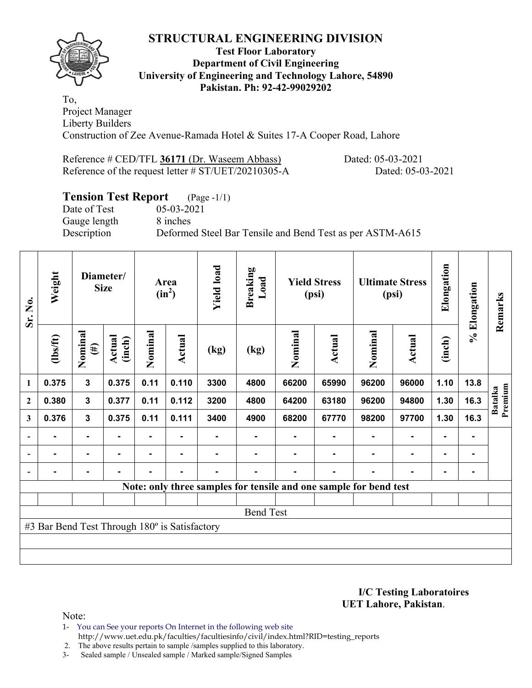

#### **Test Floor Laboratory Department of Civil Engineering University of Engineering and Technology Lahore, 54890 Pakistan. Ph: 92-42-99029202**

To, Project Manager Liberty Builders Construction of Zee Avenue-Ramada Hotel & Suites 17-A Cooper Road, Lahore

Reference # CED/TFL 36171 (Dr. Waseem Abbass) Dated: 05-03-2021 Reference of the request letter # ST/UET/20210305-A Dated: 05-03-2021

# **Tension Test Report** (Page -1/1)

Date of Test 05-03-2021 Gauge length 8 inches

Description Deformed Steel Bar Tensile and Bend Test as per ASTM-A615

| Sr. No.          | Weight<br>Diameter/<br><b>Size</b>            |                   |                         |                | Area<br>$(in^2)$ | <b>Yield load</b> |                  | <b>Yield Stress</b><br>(psi) |                                                                   |         | <b>Ultimate Stress</b><br>(psi) | Elongation     | % Elongation | Remarks                   |
|------------------|-----------------------------------------------|-------------------|-------------------------|----------------|------------------|-------------------|------------------|------------------------------|-------------------------------------------------------------------|---------|---------------------------------|----------------|--------------|---------------------------|
|                  | (1bs/ft)                                      | Nominal<br>$(\#)$ | <b>Actual</b><br>(inch) | Nominal        | Actual           | (kg)              | (kg)             | Nominal                      | Actual                                                            | Nominal | Actual                          | (inch)         |              |                           |
| 1                | 0.375                                         | $\mathbf{3}$      | 0.375                   | 0.11           | 0.110            | 3300              | 4800             | 66200                        | 65990                                                             | 96200   | 96000                           | 1.10           | 13.8         |                           |
| $\boldsymbol{2}$ | 0.380                                         | 3                 | 0.377                   | 0.11           | 0.112            | 3200              | 4800             | 64200                        | 63180                                                             | 96200   | 94800                           | 1.30           | 16.3         | Premium<br><b>Batalka</b> |
| 3                | 0.376                                         | $\mathbf{3}$      | 0.375                   | 0.11           | 0.111            | 3400              | 4900             | 68200                        | 67770                                                             | 98200   | 97700                           | 1.30           | 16.3         |                           |
|                  |                                               | $\blacksquare$    | $\blacksquare$          |                |                  |                   |                  |                              |                                                                   |         |                                 |                |              |                           |
|                  | ٠                                             | $\blacksquare$    |                         | $\blacksquare$ | ۰                |                   | $\blacksquare$   |                              |                                                                   | ۰       | $\blacksquare$                  | $\blacksquare$ |              |                           |
|                  |                                               | $\blacksquare$    |                         | $\blacksquare$ | ۰                |                   | -                |                              |                                                                   | ۰       | $\blacksquare$                  | $\blacksquare$ |              |                           |
|                  |                                               |                   |                         |                |                  |                   |                  |                              | Note: only three samples for tensile and one sample for bend test |         |                                 |                |              |                           |
|                  |                                               |                   |                         |                |                  |                   |                  |                              |                                                                   |         |                                 |                |              |                           |
|                  |                                               |                   |                         |                |                  |                   | <b>Bend Test</b> |                              |                                                                   |         |                                 |                |              |                           |
|                  | #3 Bar Bend Test Through 180° is Satisfactory |                   |                         |                |                  |                   |                  |                              |                                                                   |         |                                 |                |              |                           |
|                  |                                               |                   |                         |                |                  |                   |                  |                              |                                                                   |         |                                 |                |              |                           |
|                  |                                               |                   |                         |                |                  |                   |                  |                              |                                                                   |         |                                 |                |              |                           |

**I/C Testing Laboratoires UET Lahore, Pakistan**.

Note:

1- You can See your reports On Internet in the following web site http://www.uet.edu.pk/faculties/facultiesinfo/civil/index.html?RID=testing\_reports

2. The above results pertain to sample /samples supplied to this laboratory.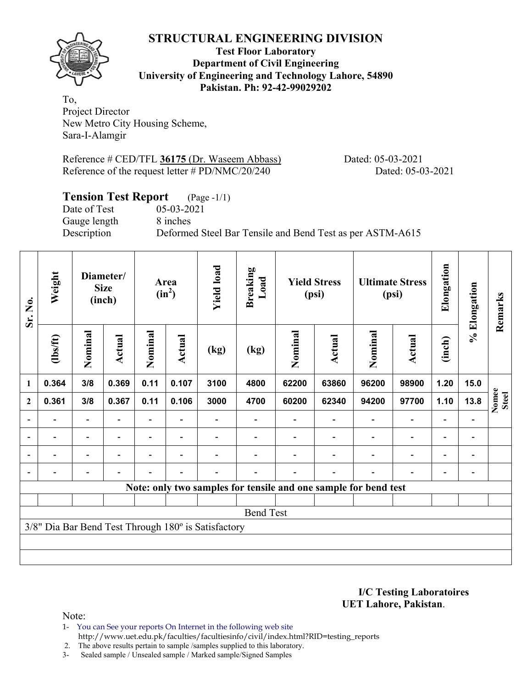**Test Floor Laboratory Department of Civil Engineering University of Engineering and Technology Lahore, 54890 Pakistan. Ph: 92-42-99029202** 

To, Project Director New Metro City Housing Scheme, Sara-I-Alamgir

Reference # CED/TFL 36175 (Dr. Waseem Abbass) Dated: 05-03-2021 Reference of the request letter # PD/NMC/20/240 Dated: 05-03-2021

# **Tension Test Report** (Page -1/1)

Date of Test 05-03-2021 Gauge length 8 inches

Description Deformed Steel Bar Tensile and Bend Test as per ASTM-A615

| Sr. No.                  | Weight                   | Diameter/<br><b>Size</b><br>(inch) |                | Area<br>$(in^2)$         |                | <b>Yield load</b>                                   | <b>Breaking</b><br>Load | <b>Yield Stress</b><br>(psi) |                                                                 | <b>Ultimate Stress</b><br>(psi) |                | Elongation                   | % Elongation | Remarks               |
|--------------------------|--------------------------|------------------------------------|----------------|--------------------------|----------------|-----------------------------------------------------|-------------------------|------------------------------|-----------------------------------------------------------------|---------------------------------|----------------|------------------------------|--------------|-----------------------|
|                          | $\frac{2}{10}$           | Nominal                            | Actual         | Nominal                  | Actual         | (kg)                                                | (kg)                    | Nominal                      | Actual                                                          | Nominal                         | Actual         | (inch)                       |              |                       |
| $\mathbf{1}$             | 0.364                    | 3/8                                | 0.369          | 0.11                     | 0.107          | 3100                                                | 4800                    | 62200                        | 63860                                                           | 96200                           | 98900          | 1.20                         | 15.0         |                       |
| $\boldsymbol{2}$         | 0.361                    | 3/8                                | 0.367          | 0.11                     | 0.106          | 3000                                                | 4700                    | 60200                        | 62340                                                           | 94200                           | 97700          | 1.10                         | 13.8         | Nomee<br><b>Steel</b> |
| $\overline{\phantom{a}}$ |                          | $\qquad \qquad \blacksquare$       |                |                          |                |                                                     |                         |                              |                                                                 | $\overline{\phantom{a}}$        |                | $\overline{\phantom{0}}$     |              |                       |
| $\blacksquare$           | $\overline{\phantom{0}}$ | $\overline{a}$                     | $\blacksquare$ | $\overline{\phantom{0}}$ | $\blacksquare$ |                                                     |                         |                              |                                                                 | $\overline{\phantom{0}}$        | $\overline{a}$ | $\qquad \qquad \blacksquare$ |              |                       |
| $\blacksquare$           |                          | ۰                                  |                |                          |                |                                                     |                         |                              |                                                                 |                                 |                | $\blacksquare$               |              |                       |
| $\overline{\phantom{0}}$ |                          |                                    |                |                          |                |                                                     |                         |                              |                                                                 |                                 |                |                              |              |                       |
|                          |                          |                                    |                |                          |                |                                                     |                         |                              | Note: only two samples for tensile and one sample for bend test |                                 |                |                              |              |                       |
|                          |                          |                                    |                |                          |                |                                                     |                         |                              |                                                                 |                                 |                |                              |              |                       |
|                          |                          |                                    |                |                          |                |                                                     | <b>Bend Test</b>        |                              |                                                                 |                                 |                |                              |              |                       |
|                          |                          |                                    |                |                          |                | 3/8" Dia Bar Bend Test Through 180° is Satisfactory |                         |                              |                                                                 |                                 |                |                              |              |                       |
|                          |                          |                                    |                |                          |                |                                                     |                         |                              |                                                                 |                                 |                |                              |              |                       |
|                          |                          |                                    |                |                          |                |                                                     |                         |                              |                                                                 |                                 |                |                              |              |                       |

**I/C Testing Laboratoires UET Lahore, Pakistan**.

Note:

1- You can See your reports On Internet in the following web site http://www.uet.edu.pk/faculties/facultiesinfo/civil/index.html?RID=testing\_reports

2. The above results pertain to sample /samples supplied to this laboratory.